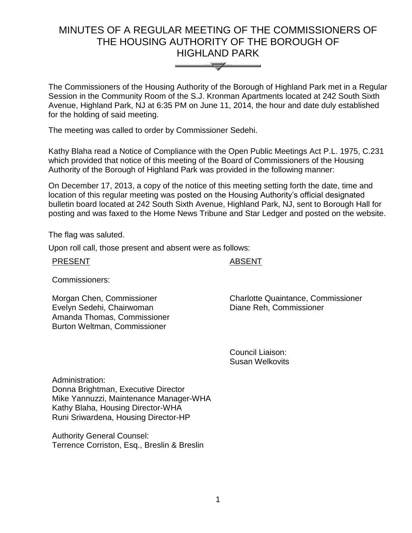# MINUTES OF A REGULAR MEETING OF THE COMMISSIONERS OF THE HOUSING AUTHORITY OF THE BOROUGH OF HIGHLAND PARK



The Commissioners of the Housing Authority of the Borough of Highland Park met in a Regular Session in the Community Room of the S.J. Kronman Apartments located at 242 South Sixth Avenue, Highland Park, NJ at 6:35 PM on June 11, 2014, the hour and date duly established for the holding of said meeting.

The meeting was called to order by Commissioner Sedehi.

Kathy Blaha read a Notice of Compliance with the Open Public Meetings Act P.L. 1975, C.231 which provided that notice of this meeting of the Board of Commissioners of the Housing Authority of the Borough of Highland Park was provided in the following manner:

On December 17, 2013, a copy of the notice of this meeting setting forth the date, time and location of this regular meeting was posted on the Housing Authority's official designated bulletin board located at 242 South Sixth Avenue, Highland Park, NJ, sent to Borough Hall for posting and was faxed to the Home News Tribune and Star Ledger and posted on the website.

The flag was saluted.

Upon roll call, those present and absent were as follows:

| <b>PRESENT</b> |
|----------------|
|----------------|

# **ABSENT**

Commissioners:

Morgan Chen, Commissioner Evelyn Sedehi, Chairwoman Amanda Thomas, Commissioner Burton Weltman, Commissioner

Charlotte Quaintance, Commissioner Diane Reh, Commissioner

Council Liaison: Susan Welkovits

Administration: Donna Brightman, Executive Director Mike Yannuzzi, Maintenance Manager-WHA Kathy Blaha, Housing Director-WHA Runi Sriwardena, Housing Director-HP

Authority General Counsel: Terrence Corriston, Esq., Breslin & Breslin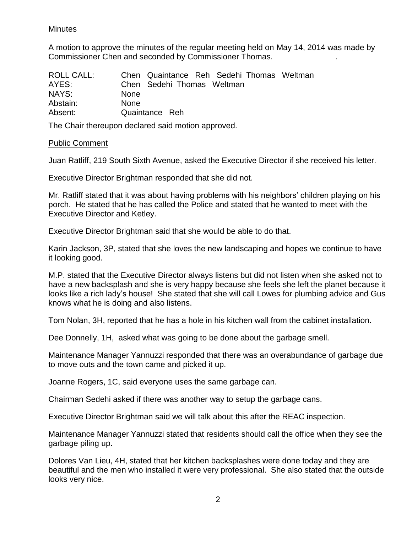# Minutes

A motion to approve the minutes of the regular meeting held on May 14, 2014 was made by Commissioner Chen and seconded by Commissioner Thomas. .

| ROLL CALL: |             | Chen Quaintance Reh Sedehi Thomas Weltman |  |  |
|------------|-------------|-------------------------------------------|--|--|
| AYES:      |             | Chen Sedehi Thomas Weltman                |  |  |
| NAYS:      | <b>None</b> |                                           |  |  |
| Abstain:   | <b>None</b> |                                           |  |  |
| Absent:    |             | Quaintance Reh                            |  |  |

The Chair thereupon declared said motion approved.

#### Public Comment

Juan Ratliff, 219 South Sixth Avenue, asked the Executive Director if she received his letter.

Executive Director Brightman responded that she did not.

Mr. Ratliff stated that it was about having problems with his neighbors' children playing on his porch. He stated that he has called the Police and stated that he wanted to meet with the Executive Director and Ketley.

Executive Director Brightman said that she would be able to do that.

Karin Jackson, 3P, stated that she loves the new landscaping and hopes we continue to have it looking good.

M.P. stated that the Executive Director always listens but did not listen when she asked not to have a new backsplash and she is very happy because she feels she left the planet because it looks like a rich lady's house! She stated that she will call Lowes for plumbing advice and Gus knows what he is doing and also listens.

Tom Nolan, 3H, reported that he has a hole in his kitchen wall from the cabinet installation.

Dee Donnelly, 1H, asked what was going to be done about the garbage smell.

Maintenance Manager Yannuzzi responded that there was an overabundance of garbage due to move outs and the town came and picked it up.

Joanne Rogers, 1C, said everyone uses the same garbage can.

Chairman Sedehi asked if there was another way to setup the garbage cans.

Executive Director Brightman said we will talk about this after the REAC inspection.

Maintenance Manager Yannuzzi stated that residents should call the office when they see the garbage piling up.

Dolores Van Lieu, 4H, stated that her kitchen backsplashes were done today and they are beautiful and the men who installed it were very professional. She also stated that the outside looks very nice.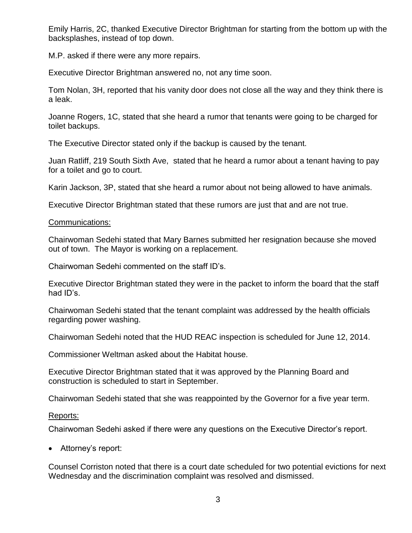Emily Harris, 2C, thanked Executive Director Brightman for starting from the bottom up with the backsplashes, instead of top down.

M.P. asked if there were any more repairs.

Executive Director Brightman answered no, not any time soon.

Tom Nolan, 3H, reported that his vanity door does not close all the way and they think there is a leak.

Joanne Rogers, 1C, stated that she heard a rumor that tenants were going to be charged for toilet backups.

The Executive Director stated only if the backup is caused by the tenant.

Juan Ratliff, 219 South Sixth Ave, stated that he heard a rumor about a tenant having to pay for a toilet and go to court.

Karin Jackson, 3P, stated that she heard a rumor about not being allowed to have animals.

Executive Director Brightman stated that these rumors are just that and are not true.

#### Communications:

Chairwoman Sedehi stated that Mary Barnes submitted her resignation because she moved out of town. The Mayor is working on a replacement.

Chairwoman Sedehi commented on the staff ID's.

Executive Director Brightman stated they were in the packet to inform the board that the staff had ID's.

Chairwoman Sedehi stated that the tenant complaint was addressed by the health officials regarding power washing.

Chairwoman Sedehi noted that the HUD REAC inspection is scheduled for June 12, 2014.

Commissioner Weltman asked about the Habitat house.

Executive Director Brightman stated that it was approved by the Planning Board and construction is scheduled to start in September.

Chairwoman Sedehi stated that she was reappointed by the Governor for a five year term.

#### Reports:

Chairwoman Sedehi asked if there were any questions on the Executive Director's report.

• Attorney's report:

Counsel Corriston noted that there is a court date scheduled for two potential evictions for next Wednesday and the discrimination complaint was resolved and dismissed.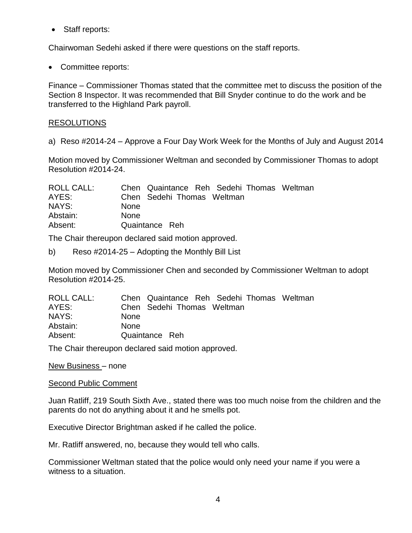Staff reports:

Chairwoman Sedehi asked if there were questions on the staff reports.

• Committee reports:

Finance – Commissioner Thomas stated that the committee met to discuss the position of the Section 8 Inspector. It was recommended that Bill Snyder continue to do the work and be transferred to the Highland Park payroll.

# RESOLUTIONS

a) Reso #2014-24 – Approve a Four Day Work Week for the Months of July and August 2014

Motion moved by Commissioner Weltman and seconded by Commissioner Thomas to adopt Resolution #2014-24.

| ROLL CALL: | Chen Quaintance Reh Sedehi Thomas Weltman |
|------------|-------------------------------------------|
| AYES:      | Chen Sedehi Thomas Weltman                |
| NAYS:      | <b>None</b>                               |
| Abstain:   | <b>None</b>                               |
| Absent:    | Quaintance Reh                            |

The Chair thereupon declared said motion approved.

b) Reso #2014-25 – Adopting the Monthly Bill List

Motion moved by Commissioner Chen and seconded by Commissioner Weltman to adopt Resolution #2014-25.

| ROLL CALL: | Chen Quaintance Reh Sedehi Thomas Weltman |  |
|------------|-------------------------------------------|--|
| AYES:      | Chen Sedehi Thomas Weltman                |  |
| NAYS:      | <b>None</b>                               |  |
| Abstain:   | <b>None</b>                               |  |
| Absent:    | Quaintance Reh                            |  |

The Chair thereupon declared said motion approved.

New Business – none

#### Second Public Comment

Juan Ratliff, 219 South Sixth Ave., stated there was too much noise from the children and the parents do not do anything about it and he smells pot.

Executive Director Brightman asked if he called the police.

Mr. Ratliff answered, no, because they would tell who calls.

Commissioner Weltman stated that the police would only need your name if you were a witness to a situation.